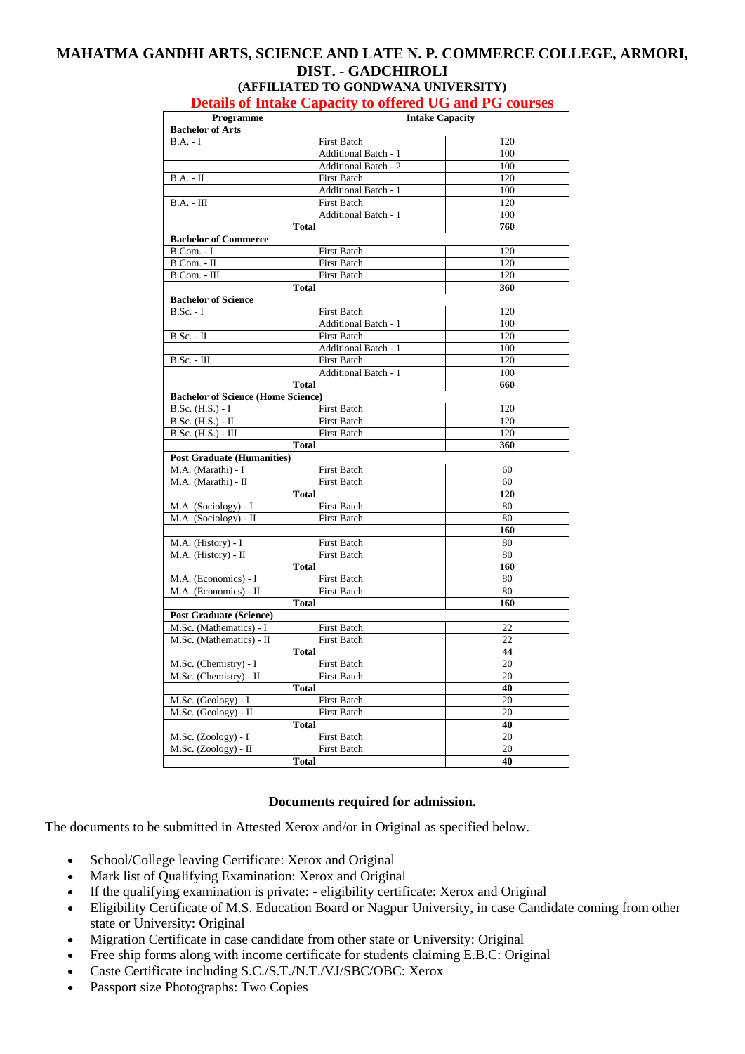## **MAHATMA GANDHI ARTS, SCIENCE AND LATE N. P. COMMERCE COLLEGE, ARMORI, DIST. - GADCHIROLI (AFFILIATED TO GONDWANA UNIVERSITY)**

## **Details of Intake Capacity to offered UG and PG courses**

| Programme<br><b>Intake Capacity</b>            |                             |                 |
|------------------------------------------------|-----------------------------|-----------------|
| <b>Bachelor of Arts</b>                        |                             |                 |
| $B.A. - I$                                     | <b>First Batch</b>          | 120             |
|                                                | Additional Batch - 1        | 100             |
|                                                | <b>Additional Batch - 2</b> | 100             |
| $B.A. - II$                                    | <b>First Batch</b>          | 120             |
|                                                | Additional Batch - 1        | 100             |
| $B.A. - III$                                   | <b>First Batch</b>          | 120             |
|                                                | <b>Additional Batch - 1</b> | 100             |
| Total                                          |                             | 760             |
| <b>Bachelor of Commerce</b>                    |                             |                 |
| $B.$ Com. - I                                  | <b>First Batch</b>          | 120             |
| $B.$ Com. - $II$                               | <b>First Batch</b>          | 120             |
| $B.$ Com. - $III$                              | <b>First Batch</b>          | 120             |
| Total                                          |                             | 360             |
| <b>Bachelor of Science</b>                     |                             |                 |
| <b>B.Sc.</b> - I                               | <b>First Batch</b>          | 120             |
|                                                | Additional Batch - 1        | 100             |
| $B.Sc. - II$                                   | <b>First Batch</b>          | 120             |
|                                                | <b>Additional Batch - 1</b> | 100             |
| $B.Sc. - III$                                  | <b>First Batch</b>          | 120             |
|                                                | <b>Additional Batch - 1</b> | 100             |
| <b>Total</b>                                   |                             | 660             |
| <b>Bachelor of Science (Home Science)</b>      |                             |                 |
| $B.Sc. (H.S.) - I$                             | <b>First Batch</b>          | 120             |
| $B.Sc. (H.S.) - II$                            | <b>First Batch</b>          | 120             |
| $B.Sc.$ (H.S.) - III                           | <b>First Batch</b>          | 120             |
| <b>Total</b>                                   |                             | 360             |
| <b>Post Graduate (Humanities)</b>              |                             |                 |
| M.A. (Marathi) - I                             | First Batch                 | 60              |
| M.A. (Marathi) - II                            | <b>First Batch</b>          | 60              |
| Total                                          |                             | 120             |
| M.A. (Sociology) - I                           | <b>First Batch</b>          | 80              |
| M.A. (Sociology) - II                          | <b>First Batch</b>          | 80              |
|                                                |                             | 160             |
| M.A. (History) - I                             | First Batch                 | 80              |
| M.A. (History) - II                            | <b>First Batch</b>          | 80              |
| Total                                          |                             | 160             |
| M.A. (Economics) - I                           | First Batch                 | 80              |
| M.A. (Economics) - II                          | First Batch                 | 80<br>160       |
| <b>Total</b><br><b>Post Graduate (Science)</b> |                             |                 |
|                                                | <b>First Batch</b>          | 22              |
| M.Sc. (Mathematics) - I                        |                             | 22              |
| M.Sc. (Mathematics) - II<br><b>Total</b>       | <b>First Batch</b>          | 44              |
| M.Sc. (Chemistry) - I<br><b>First Batch</b>    |                             | 20              |
| M.Sc. (Chemistry) - II                         | <b>First Batch</b>          | 20              |
| <b>Total</b>                                   |                             | 40              |
| M.Sc. (Geology) - I                            | <b>First Batch</b>          | 20              |
| M.Sc. (Geology) - II                           | <b>First Batch</b>          | $\overline{20}$ |
| <b>Total</b>                                   |                             | 40              |
| M.Sc. (Zoology) - I                            | <b>First Batch</b>          | 20              |
| M.Sc. (Zoology) - II                           | First Batch                 | 20              |
| <b>Total</b>                                   |                             | 40              |
|                                                |                             |                 |

## **Documents required for admission.**

The documents to be submitted in Attested Xerox and/or in Original as specified below.

- School/College leaving Certificate: Xerox and Original
- Mark list of Qualifying Examination: Xerox and Original
- If the qualifying examination is private: eligibility certificate: Xerox and Original
- Eligibility Certificate of M.S. Education Board or Nagpur University, in case Candidate coming from other state or University: Original
- Migration Certificate in case candidate from other state or University: Original
- Free ship forms along with income certificate for students claiming E.B.C: Original
- Caste Certificate including S.C./S.T./N.T./VJ/SBC/OBC: Xerox
- Passport size Photographs: Two Copies